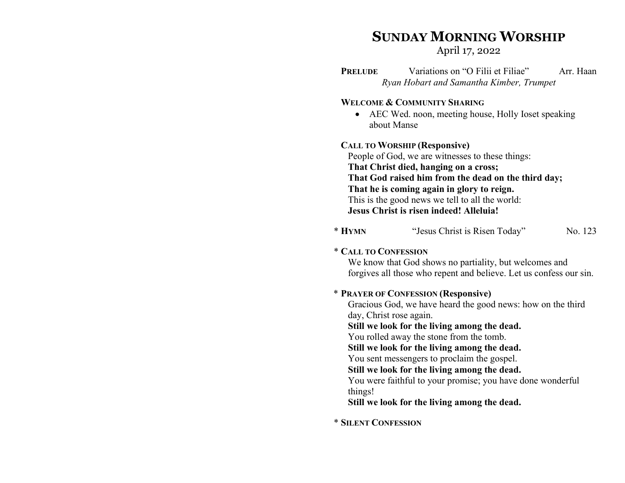# SUNDAY MORNING WORSHIP

April 17, 2022

PRELUDE Variations on "O Filii et Filiae" Arr. Haan Ryan Hobart and Samantha Kimber, Trumpet

# WELCOME & COMMUNITY SHARING

 AEC Wed. noon, meeting house, Holly Ioset speaking about Manse

### CALL TO WORSHIP (Responsive)

People of God, we are witnesses to these things: That Christ died, hanging on a cross; That God raised him from the dead on the third day; That he is coming again in glory to reign. This is the good news we tell to all the world: Jesus Christ is risen indeed! Alleluia!

| $*$ Hymn | "Jesus Christ is Risen Today" | No. 123 |
|----------|-------------------------------|---------|
|----------|-------------------------------|---------|

### \* CALL TO CONFESSION

We know that God shows no partiality, but welcomes and forgives all those who repent and believe. Let us confess our sin.

## \* PRAYER OF CONFESSION (Responsive)

Gracious God, we have heard the good news: how on the third day, Christ rose again.

#### Still we look for the living among the dead.

You rolled away the stone from the tomb.

Still we look for the living among the dead.

You sent messengers to proclaim the gospel.

#### Still we look for the living among the dead.

You were faithful to your promise; you have done wonderful things!

Still we look for the living among the dead.

\* SILENT CONFESSION